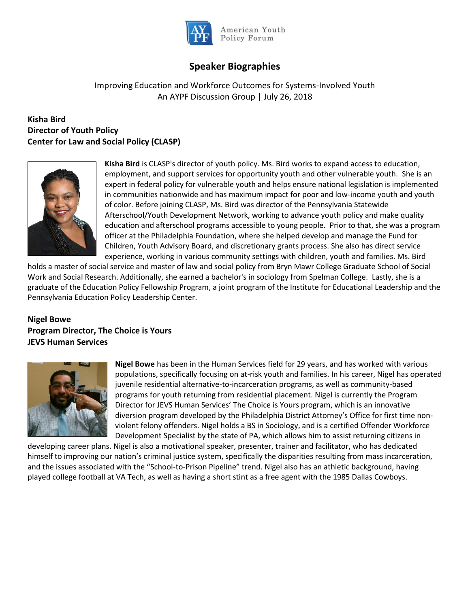

American Youth Policy Forum

# **Speaker Biographies**

## Improving Education and Workforce Outcomes for Systems-Involved Youth An AYPF Discussion Group | July 26, 2018

### **Kisha Bird Director of Youth Policy Center for Law and Social Policy (CLASP)**



**Kisha Bird** is CLASP's director of youth policy. Ms. Bird works to expand access to education, employment, and support services for opportunity youth and other vulnerable youth. She is an expert in federal policy for vulnerable youth and helps ensure national legislation is implemented in communities nationwide and has maximum impact for poor and low-income youth and youth of color. Before joining CLASP, Ms. Bird was director of the Pennsylvania Statewide Afterschool/Youth Development Network, working to advance youth policy and make quality education and afterschool programs accessible to young people. Prior to that, she was a program officer at the Philadelphia Foundation, where she helped develop and manage the Fund for Children, Youth Advisory Board, and discretionary grants process. She also has direct service experience, working in various community settings with children, youth and families. Ms. Bird

holds a master of social service and master of law and social policy from Bryn Mawr College Graduate School of Social Work and Social Research. Additionally, she earned a bachelor's in sociology from Spelman College. Lastly, she is a graduate of the Education Policy Fellowship Program, a joint program of the Institute for Educational Leadership and the Pennsylvania Education Policy Leadership Center.

### **Nigel Bowe Program Director, The Choice is Yours JEVS Human Services**



**Nigel Bowe** has been in the Human Services field for 29 years, and has worked with various populations, specifically focusing on at-risk youth and families. In his career, Nigel has operated juvenile residential alternative-to-incarceration programs, as well as community-based programs for youth returning from residential placement. Nigel is currently the Program Director for JEVS Human Services' The Choice is Yours program, which is an innovative diversion program developed by the Philadelphia District Attorney's Office for first time nonviolent felony offenders. Nigel holds a BS in Sociology, and is a certified Offender Workforce Development Specialist by the state of PA, which allows him to assist returning citizens in

developing career plans. Nigel is also a motivational speaker, presenter, trainer and facilitator, who has dedicated himself to improving our nation's criminal justice system, specifically the disparities resulting from mass incarceration, and the issues associated with the "School-to-Prison Pipeline" trend. Nigel also has an athletic background, having played college football at VA Tech, as well as having a short stint as a free agent with the 1985 Dallas Cowboys.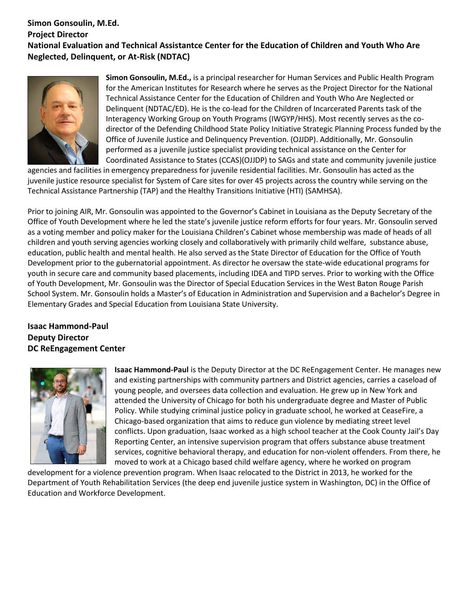#### **Simon Gonsoulin, M.Ed. Project Director National Evaluation and Technical Assistantce Center for the Education of Children and Youth Who Are Neglected, Delinquent, or At-Risk (NDTAC)**



**Simon Gonsoulin, M.Ed.,** is a principal researcher for Human Services and Public Health Program for the American Institutes for Research where he serves as the Project Director for the National Technical Assistance Center for the Education of Children and Youth Who Are Neglected or Delinquent (NDTAC/ED). He is the co-lead for the Children of Incarcerated Parents task of the Interagency Working Group on Youth Programs (IWGYP/HHS). Most recently serves as the codirector of the Defending Childhood State Policy Initiative Strategic Planning Process funded by the Office of Juvenile Justice and Delinquency Prevention. (OJJDP). Additionally, Mr. Gonsoulin performed as a juvenile justice specialist providing technical assistance on the Center for Coordinated Assistance to States (CCAS)(OJJDP) to SAGs and state and community juvenile justice

agencies and facilities in emergency preparedness for juvenile residential facilities. Mr. Gonsoulin has acted as the juvenile justice resource specialist for System of Care sites for over 45 projects across the country while serving on the Technical Assistance Partnership (TAP) and the Healthy Transitions Initiative (HTI) (SAMHSA).

Prior to joining AIR, Mr. Gonsoulin was appointed to the Governor's Cabinet in Louisiana as the Deputy Secretary of the Office of Youth Development where he led the state's juvenile justice reform efforts for four years. Mr. Gonsoulin served as a voting member and policy maker for the Louisiana Children's Cabinet whose membership was made of heads of all children and youth serving agencies working closely and collaboratively with primarily child welfare, substance abuse, education, public health and mental health. He also served as the State Director of Education for the Office of Youth Development prior to the gubernatorial appointment. As director he oversaw the state-wide educational programs for youth in secure care and community based placements, including IDEA and TIPD serves. Prior to working with the Office of Youth Development, Mr. Gonsoulin was the Director of Special Education Services in the West Baton Rouge Parish School System. Mr. Gonsoulin holds a Master's of Education in Administration and Supervision and a Bachelor's Degree in Elementary Grades and Special Education from Louisiana State University.

#### **Isaac Hammond-Paul Deputy Director DC ReEngagement Center**



**Isaac Hammond-Paul** is the Deputy Director at the DC ReEngagement Center. He manages new and existing partnerships with community partners and District agencies, carries a caseload of young people, and oversees data collection and evaluation. He grew up in New York and attended the University of Chicago for both his undergraduate degree and Master of Public Policy. While studying criminal justice policy in graduate school, he worked at CeaseFire, a Chicago-based organization that aims to reduce gun violence by mediating street level conflicts. Upon graduation, Isaac worked as a high school teacher at the Cook County Jail's Day Reporting Center, an intensive supervision program that offers substance abuse treatment services, cognitive behavioral therapy, and education for non-violent offenders. From there, he moved to work at a Chicago based child welfare agency, where he worked on program

development for a violence prevention program. When Isaac relocated to the District in 2013, he worked for the Department of Youth Rehabilitation Services (the deep end juvenile justice system in Washington, DC) in the Office of Education and Workforce Development.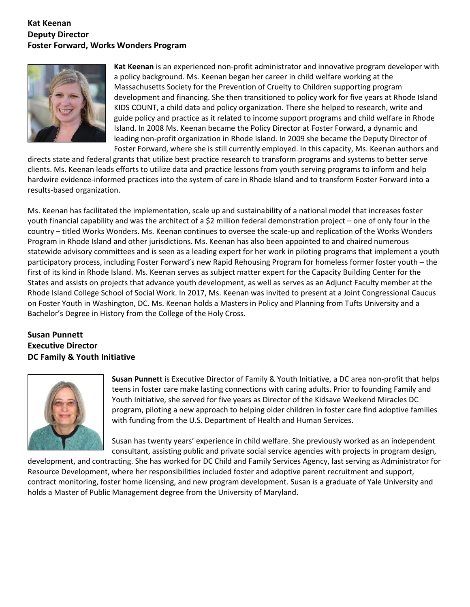#### **Kat Keenan Deputy Director Foster Forward, Works Wonders Program**



**Kat Keenan** is an experienced non-profit administrator and innovative program developer with a policy background. Ms. Keenan began her career in child welfare working at the Massachusetts Society for the Prevention of Cruelty to Children supporting program development and financing. She then transitioned to policy work for five years at Rhode Island KIDS COUNT, a child data and policy organization. There she helped to research, write and guide policy and practice as it related to income support programs and child welfare in Rhode Island. In 2008 Ms. Keenan became the Policy Director at Foster Forward, a dynamic and leading non-profit organization in Rhode Island. In 2009 she became the Deputy Director of Foster Forward, where she is still currently employed. In this capacity, Ms. Keenan authors and

directs state and federal grants that utilize best practice research to transform programs and systems to better serve clients. Ms. Keenan leads efforts to utilize data and practice lessons from youth serving programs to inform and help hardwire evidence-informed practices into the system of care in Rhode Island and to transform Foster Forward into a results-based organization.

Ms. Keenan has facilitated the implementation, scale up and sustainability of a national model that increases foster youth financial capability and was the architect of a \$2 million federal demonstration project – one of only four in the country – titled Works Wonders. Ms. Keenan continues to oversee the scale-up and replication of the Works Wonders Program in Rhode Island and other jurisdictions. Ms. Keenan has also been appointed to and chaired numerous statewide advisory committees and is seen as a leading expert for her work in piloting programs that implement a youth participatory process, including Foster Forward's new Rapid Rehousing Program for homeless former foster youth – the first of its kind in Rhode Island. Ms. Keenan serves as subject matter expert for the Capacity Building Center for the States and assists on projects that advance youth development, as well as serves as an Adjunct Faculty member at the Rhode Island College School of Social Work. In 2017, Ms. Keenan was invited to present at a Joint Congressional Caucus on Foster Youth in Washington, DC. Ms. Keenan holds a Masters in Policy and Planning from Tufts University and a Bachelor's Degree in History from the College of the Holy Cross.

## **Susan Punnett Executive Director DC Family & Youth Initiative**



**Susan Punnett** is Executive Director of Family & Youth Initiative, a DC area non-profit that helps teens in foster care make lasting connections with caring adults. Prior to founding Family and Youth Initiative, she served for five years as Director of the Kidsave Weekend Miracles DC program, piloting a new approach to helping older children in foster care find adoptive families with funding from the U.S. Department of Health and Human Services.

Susan has twenty years' experience in child welfare. She previously worked as an independent consultant, assisting public and private social service agencies with projects in program design,

development, and contracting. She has worked for DC Child and Family Services Agency, last serving as Administrator for Resource Development, where her responsibilities included foster and adoptive parent recruitment and support, contract monitoring, foster home licensing, and new program development. Susan is a graduate of Yale University and holds a Master of Public Management degree from the University of Maryland.